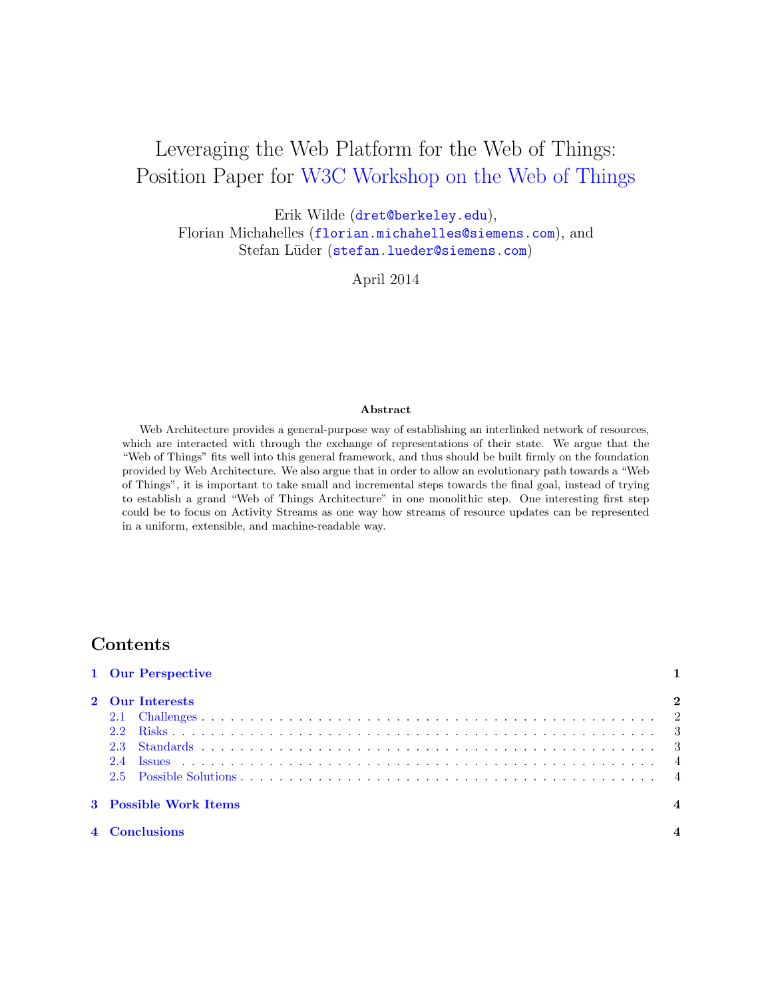# Leveraging the Web Platform for the Web of Things: Position Paper for [W3C Workshop on the Web of Things](http://www.w3.org/2014/02/wot/)

Erik Wilde ([dret@berkeley.edu](mailto:dret@berkeley.edu)),

Florian Michahelles ([florian.michahelles@siemens.com](mailto:florian.michahelles@siemens.com)), and Stefan Lüder ([stefan.lueder@siemens.com](mailto:stefan.lueder@siemens.com))

April 2014

#### Abstract

Web Architecture provides a general-purpose way of establishing an interlinked network of resources, which are interacted with through the exchange of representations of their state. We argue that the "Web of Things" fits well into this general framework, and thus should be built firmly on the foundation provided by Web Architecture. We also argue that in order to allow an evolutionary path towards a "Web of Things", it is important to take small and incremental steps towards the final goal, instead of trying to establish a grand "Web of Things Architecture" in one monolithic step. One interesting first step could be to focus on Activity Streams as one way how streams of resource updates can be represented in a uniform, extensible, and machine-readable way.

## Contents

| 1 Our Perspective     |                |
|-----------------------|----------------|
| 2 Our Interests       | $\overline{2}$ |
| 3 Possible Work Items |                |
| 4 Conclusions         |                |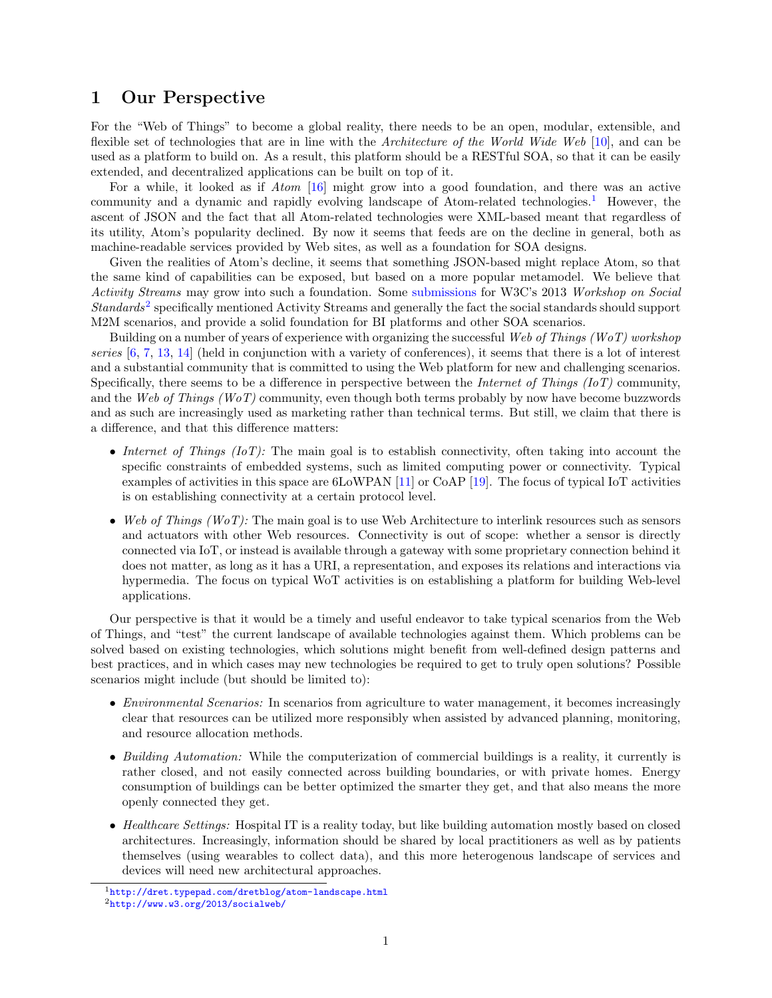## <span id="page-1-0"></span>1 Our Perspective

For the "Web of Things" to become a global reality, there needs to be an open, modular, extensible, and flexible set of technologies that are in line with the Architecture of the World Wide Web [\[10\]](#page-5-0), and can be used as a platform to build on. As a result, this platform should be a RESTful SOA, so that it can be easily extended, and decentralized applications can be built on top of it.

For a while, it looked as if Atom [\[16\]](#page-5-0) might grow into a good foundation, and there was an active community and a dynamic and rapidly evolving landscape of Atom-related technologies.<sup>1</sup> However, the ascent of JSON and the fact that all Atom-related technologies were XML-based meant that regardless of its utility, Atom's popularity declined. By now it seems that feeds are on the decline in general, both as machine-readable services provided by Web sites, as well as a foundation for SOA designs.

Given the realities of Atom's decline, it seems that something JSON-based might replace Atom, so that the same kind of capabilities can be exposed, but based on a more popular metamodel. We believe that Activity Streams may grow into such a foundation. Some [submissions](http://www.w3.org/2013/socialweb/attend.html) for W3C's 2013 Workshop on Social Standards<sup>2</sup> specifically mentioned Activity Streams and generally the fact the social standards should support M2M scenarios, and provide a solid foundation for BI platforms and other SOA scenarios.

Building on a number of years of experience with organizing the successful Web of Things (WoT) workshop series  $[6, 7, 13, 14]$  $[6, 7, 13, 14]$  $[6, 7, 13, 14]$  $[6, 7, 13, 14]$  $[6, 7, 13, 14]$  $[6, 7, 13, 14]$  $[6, 7, 13, 14]$  (held in conjunction with a variety of conferences), it seems that there is a lot of interest and a substantial community that is committed to using the Web platform for new and challenging scenarios. Specifically, there seems to be a difference in perspective between the *Internet of Things (IoT)* community, and the Web of Things (WoT) community, even though both terms probably by now have become buzzwords and as such are increasingly used as marketing rather than technical terms. But still, we claim that there is a difference, and that this difference matters:

- Internet of Things  $(IoT)$ : The main goal is to establish connectivity, often taking into account the specific constraints of embedded systems, such as limited computing power or connectivity. Typical examples of activities in this space are 6LoWPAN [\[11\]](#page-5-0) or CoAP [\[19\]](#page-5-0). The focus of typical IoT activities is on establishing connectivity at a certain protocol level.
- Web of Things (WoT): The main goal is to use Web Architecture to interlink resources such as sensors and actuators with other Web resources. Connectivity is out of scope: whether a sensor is directly connected via IoT, or instead is available through a gateway with some proprietary connection behind it does not matter, as long as it has a URI, a representation, and exposes its relations and interactions via hypermedia. The focus on typical WoT activities is on establishing a platform for building Web-level applications.

Our perspective is that it would be a timely and useful endeavor to take typical scenarios from the Web of Things, and "test" the current landscape of available technologies against them. Which problems can be solved based on existing technologies, which solutions might benefit from well-defined design patterns and best practices, and in which cases may new technologies be required to get to truly open solutions? Possible scenarios might include (but should be limited to):

- *Environmental Scenarios:* In scenarios from agriculture to water management, it becomes increasingly clear that resources can be utilized more responsibly when assisted by advanced planning, monitoring, and resource allocation methods.
- Building Automation: While the computerization of commercial buildings is a reality, it currently is rather closed, and not easily connected across building boundaries, or with private homes. Energy consumption of buildings can be better optimized the smarter they get, and that also means the more openly connected they get.
- Healthcare Settings: Hospital IT is a reality today, but like building automation mostly based on closed architectures. Increasingly, information should be shared by local practitioners as well as by patients themselves (using wearables to collect data), and this more heterogenous landscape of services and devices will need new architectural approaches.

<sup>1</sup><http://dret.typepad.com/dretblog/atom-landscape.html>  $^{2}$ <http://www.w3.org/2013/socialweb/>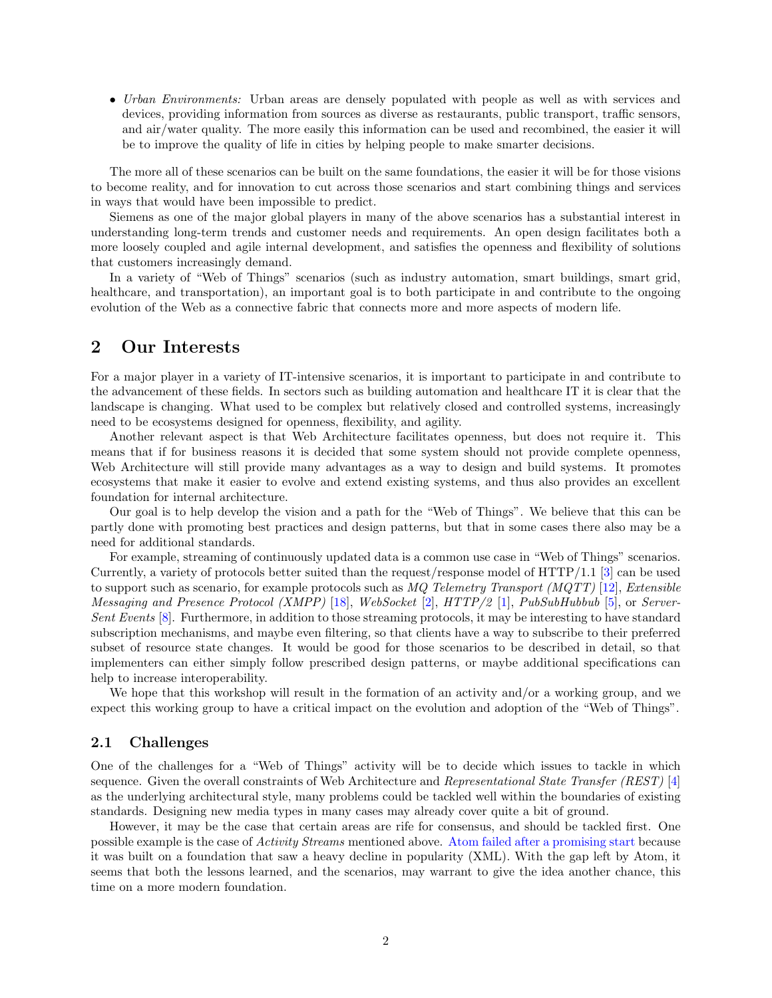<span id="page-2-0"></span>• Urban Environments: Urban areas are densely populated with people as well as with services and devices, providing information from sources as diverse as restaurants, public transport, traffic sensors, and air/water quality. The more easily this information can be used and recombined, the easier it will be to improve the quality of life in cities by helping people to make smarter decisions.

The more all of these scenarios can be built on the same foundations, the easier it will be for those visions to become reality, and for innovation to cut across those scenarios and start combining things and services in ways that would have been impossible to predict.

Siemens as one of the major global players in many of the above scenarios has a substantial interest in understanding long-term trends and customer needs and requirements. An open design facilitates both a more loosely coupled and agile internal development, and satisfies the openness and flexibility of solutions that customers increasingly demand.

In a variety of "Web of Things" scenarios (such as industry automation, smart buildings, smart grid, healthcare, and transportation), an important goal is to both participate in and contribute to the ongoing evolution of the Web as a connective fabric that connects more and more aspects of modern life.

## 2 Our Interests

For a major player in a variety of IT-intensive scenarios, it is important to participate in and contribute to the advancement of these fields. In sectors such as building automation and healthcare IT it is clear that the landscape is changing. What used to be complex but relatively closed and controlled systems, increasingly need to be ecosystems designed for openness, flexibility, and agility.

Another relevant aspect is that Web Architecture facilitates openness, but does not require it. This means that if for business reasons it is decided that some system should not provide complete openness, Web Architecture will still provide many advantages as a way to design and build systems. It promotes ecosystems that make it easier to evolve and extend existing systems, and thus also provides an excellent foundation for internal architecture.

Our goal is to help develop the vision and a path for the "Web of Things". We believe that this can be partly done with promoting best practices and design patterns, but that in some cases there also may be a need for additional standards.

For example, streaming of continuously updated data is a common use case in "Web of Things" scenarios. Currently, a variety of protocols better suited than the request/response model of  $\operatorname{HTTP}/1.1$  [\[3\]](#page-5-0) can be used to support such as scenario, for example protocols such as  $MQ$  Telemetry Transport (MQTT) [\[12\]](#page-5-0), Extensible Messaging and Presence Protocol (XMPP) [\[18\]](#page-5-0), WebSocket [\[2\]](#page-5-0), HTTP/2 [\[1\]](#page-4-0), PubSubHubbub [\[5\]](#page-5-0), or Server-Sent Events [\[8\]](#page-5-0). Furthermore, in addition to those streaming protocols, it may be interesting to have standard subscription mechanisms, and maybe even filtering, so that clients have a way to subscribe to their preferred subset of resource state changes. It would be good for those scenarios to be described in detail, so that implementers can either simply follow prescribed design patterns, or maybe additional specifications can help to increase interoperability.

We hope that this workshop will result in the formation of an activity and/or a working group, and we expect this working group to have a critical impact on the evolution and adoption of the "Web of Things".

#### 2.1 Challenges

One of the challenges for a "Web of Things" activity will be to decide which issues to tackle in which sequence. Given the overall constraints of Web Architecture and Representational State Transfer (REST) [\[4\]](#page-5-0) as the underlying architectural style, many problems could be tackled well within the boundaries of existing standards. Designing new media types in many cases may already cover quite a bit of ground.

However, it may be the case that certain areas are rife for consensus, and should be tackled first. One possible example is the case of Activity Streams mentioned above. [Atom failed after a promising start](http://dret.typepad.com/dretblog/2009/05/atoms-future-as-a-generalpurpose-format.html) because it was built on a foundation that saw a heavy decline in popularity (XML). With the gap left by Atom, it seems that both the lessons learned, and the scenarios, may warrant to give the idea another chance, this time on a more modern foundation.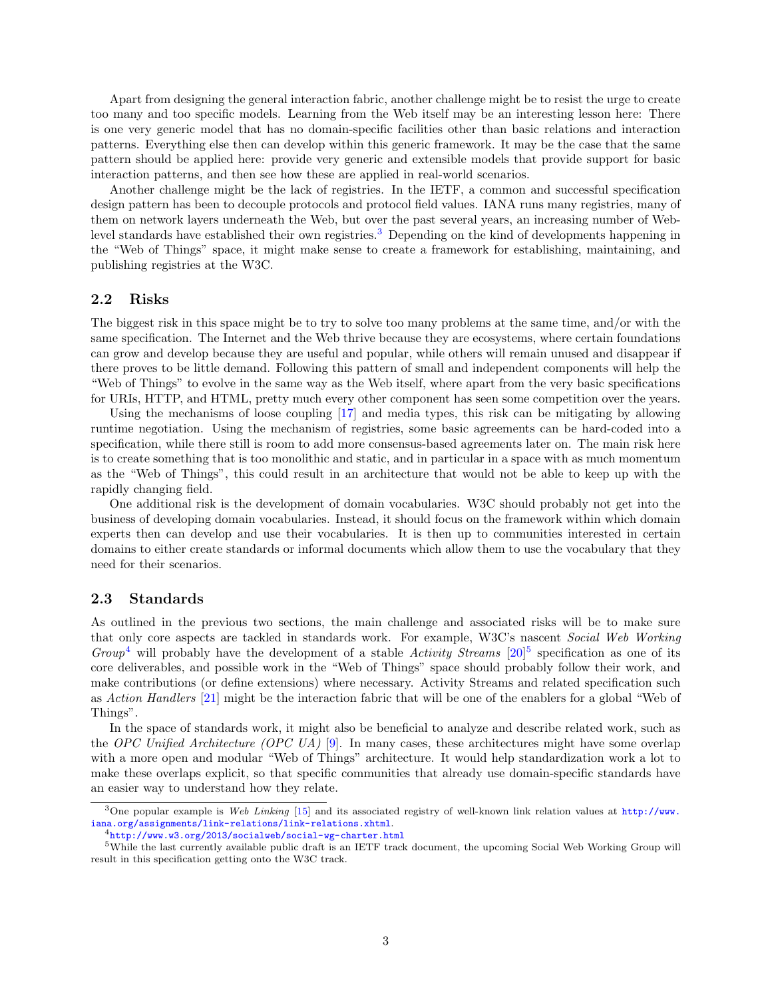<span id="page-3-0"></span>Apart from designing the general interaction fabric, another challenge might be to resist the urge to create too many and too specific models. Learning from the Web itself may be an interesting lesson here: There is one very generic model that has no domain-specific facilities other than basic relations and interaction patterns. Everything else then can develop within this generic framework. It may be the case that the same pattern should be applied here: provide very generic and extensible models that provide support for basic interaction patterns, and then see how these are applied in real-world scenarios.

Another challenge might be the lack of registries. In the IETF, a common and successful specification design pattern has been to decouple protocols and protocol field values. IANA runs many registries, many of them on network layers underneath the Web, but over the past several years, an increasing number of Weblevel standards have established their own registries.<sup>3</sup> Depending on the kind of developments happening in the "Web of Things" space, it might make sense to create a framework for establishing, maintaining, and publishing registries at the W3C.

#### 2.2 Risks

The biggest risk in this space might be to try to solve too many problems at the same time, and/or with the same specification. The Internet and the Web thrive because they are ecosystems, where certain foundations can grow and develop because they are useful and popular, while others will remain unused and disappear if there proves to be little demand. Following this pattern of small and independent components will help the "Web of Things" to evolve in the same way as the Web itself, where apart from the very basic specifications for URIs, HTTP, and HTML, pretty much every other component has seen some competition over the years.

Using the mechanisms of loose coupling [\[17\]](#page-5-0) and media types, this risk can be mitigating by allowing runtime negotiation. Using the mechanism of registries, some basic agreements can be hard-coded into a specification, while there still is room to add more consensus-based agreements later on. The main risk here is to create something that is too monolithic and static, and in particular in a space with as much momentum as the "Web of Things", this could result in an architecture that would not be able to keep up with the rapidly changing field.

One additional risk is the development of domain vocabularies. W3C should probably not get into the business of developing domain vocabularies. Instead, it should focus on the framework within which domain experts then can develop and use their vocabularies. It is then up to communities interested in certain domains to either create standards or informal documents which allow them to use the vocabulary that they need for their scenarios.

#### 2.3 Standards

As outlined in the previous two sections, the main challenge and associated risks will be to make sure that only core aspects are tackled in standards work. For example, W3C's nascent Social Web Working Group<sup>4</sup> will probably have the development of a stable Activity Streams  $[20]$ <sup>5</sup> specification as one of its core deliverables, and possible work in the "Web of Things" space should probably follow their work, and make contributions (or define extensions) where necessary. Activity Streams and related specification such as Action Handlers [\[21\]](#page-5-0) might be the interaction fabric that will be one of the enablers for a global "Web of Things".

In the space of standards work, it might also be beneficial to analyze and describe related work, such as the OPC Unified Architecture (OPC UA) [\[9\]](#page-5-0). In many cases, these architectures might have some overlap with a more open and modular "Web of Things" architecture. It would help standardization work a lot to make these overlaps explicit, so that specific communities that already use domain-specific standards have an easier way to understand how they relate.

<sup>&</sup>lt;sup>3</sup>One popular example is Web Linking [\[15\]](#page-5-0) and its associated registry of well-known link relation values at [http://www.](http://www.iana.org/assignments/link-relations/link-relations.xhtml) [iana.org/assignments/link-relations/link-relations.xhtml](http://www.iana.org/assignments/link-relations/link-relations.xhtml).

<sup>4</sup><http://www.w3.org/2013/socialweb/social-wg-charter.html>

<sup>5</sup>While the last currently available public draft is an IETF track document, the upcoming Social Web Working Group will result in this specification getting onto the W3C track.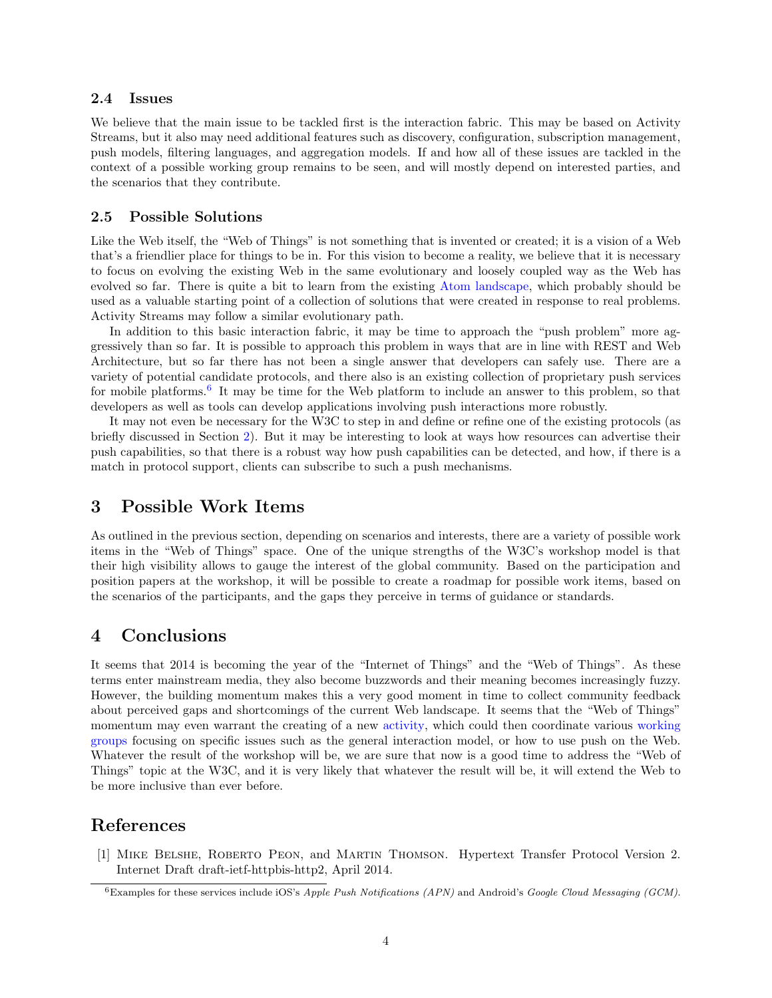#### <span id="page-4-0"></span>2.4 Issues

We believe that the main issue to be tackled first is the interaction fabric. This may be based on Activity Streams, but it also may need additional features such as discovery, configuration, subscription management, push models, filtering languages, and aggregation models. If and how all of these issues are tackled in the context of a possible working group remains to be seen, and will mostly depend on interested parties, and the scenarios that they contribute.

#### 2.5 Possible Solutions

Like the Web itself, the "Web of Things" is not something that is invented or created; it is a vision of a Web that's a friendlier place for things to be in. For this vision to become a reality, we believe that it is necessary to focus on evolving the existing Web in the same evolutionary and loosely coupled way as the Web has evolved so far. There is quite a bit to learn from the existing [Atom landscape,](http://dret.typepad.com/dretblog/atom-landscape.html) which probably should be used as a valuable starting point of a collection of solutions that were created in response to real problems. Activity Streams may follow a similar evolutionary path.

In addition to this basic interaction fabric, it may be time to approach the "push problem" more aggressively than so far. It is possible to approach this problem in ways that are in line with REST and Web Architecture, but so far there has not been a single answer that developers can safely use. There are a variety of potential candidate protocols, and there also is an existing collection of proprietary push services for mobile platforms.<sup>6</sup> It may be time for the Web platform to include an answer to this problem, so that developers as well as tools can develop applications involving push interactions more robustly.

It may not even be necessary for the W3C to step in and define or refine one of the existing protocols (as briefly discussed in Section [2\)](#page-2-0). But it may be interesting to look at ways how resources can advertise their push capabilities, so that there is a robust way how push capabilities can be detected, and how, if there is a match in protocol support, clients can subscribe to such a push mechanisms.

## 3 Possible Work Items

As outlined in the previous section, depending on scenarios and interests, there are a variety of possible work items in the "Web of Things" space. One of the unique strengths of the W3C's workshop model is that their high visibility allows to gauge the interest of the global community. Based on the participation and position papers at the workshop, it will be possible to create a roadmap for possible work items, based on the scenarios of the participants, and the gaps they perceive in terms of guidance or standards.

### 4 Conclusions

It seems that 2014 is becoming the year of the "Internet of Things" and the "Web of Things". As these terms enter mainstream media, they also become buzzwords and their meaning becomes increasingly fuzzy. However, the building momentum makes this a very good moment in time to collect community feedback about perceived gaps and shortcomings of the current Web landscape. It seems that the "Web of Things" momentum may even warrant the creating of a new [activity,](http://www.w3.org/2005/10/Process-20051014/activities.html) which could then coordinate various [working](http://www.w3.org/2005/10/Process-20051014/groups.html) [groups](http://www.w3.org/2005/10/Process-20051014/groups.html) focusing on specific issues such as the general interaction model, or how to use push on the Web. Whatever the result of the workshop will be, we are sure that now is a good time to address the "Web of Things" topic at the W3C, and it is very likely that whatever the result will be, it will extend the Web to be more inclusive than ever before.

## References

[1] Mike Belshe, Roberto Peon, and Martin Thomson. Hypertext Transfer Protocol Version 2. Internet Draft draft-ietf-httpbis-http2, April 2014.

<sup>&</sup>lt;sup>6</sup>Examples for these services include iOS's Apple Push Notifications (APN) and Android's Google Cloud Messaging (GCM).